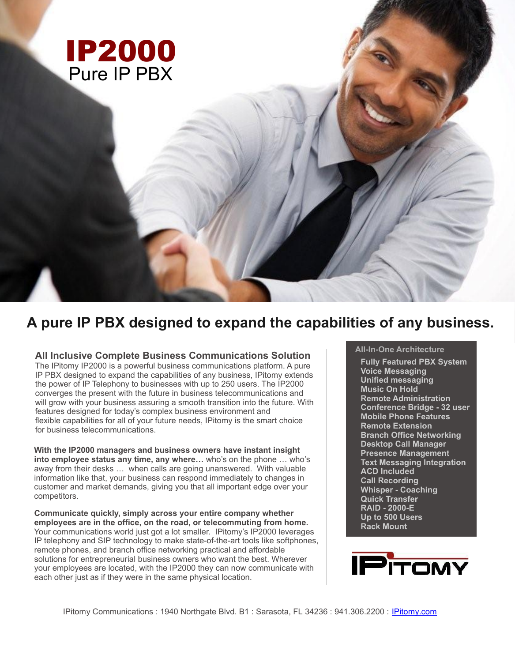

# **A pure IP PBX designed to expand the capabilities of any business.**

**All Inclusive Complete Business Communications Solution**

The IPitomy IP2000 is a powerful business communications platform. A pure IP PBX designed to expand the capabilities of any business, IPitomy extends the power of IP Telephony to businesses with up to 250 users. The IP2000 converges the present with the future in business telecommunications and will grow with your business assuring a smooth transition into the future. With features designed for today's complex business environment and flexible capabilities for all of your future needs, IPitomy is the smart choice for business telecommunications.

**With the IP2000 managers and business owners have instant insight into employee status any time, any where…** who's on the phone … who's away from their desks … when calls are going unanswered. With valuable information like that, your business can respond immediately to changes in customer and market demands, giving you that all important edge over your competitors.

**Communicate quickly, simply across your entire company whether employees are in the office, on the road, or telecommuting from home.** Your communications world just got a lot smaller. IPitomy's IP2000 leverages IP telephony and SIP technology to make state-of-the-art tools like softphones, remote phones, and branch office networking practical and affordable solutions for entrepreneurial business owners who want the best. Wherever your employees are located, with the IP2000 they can now communicate with each other just as if they were in the same physical location.

# **All-In-One Architecture**

**Fully Featured PBX System Voice Messaging Unified messaging Music On Hold Remote Administration Conference Bridge - 32 user Mobile Phone Features Remote Extension Branch Office Networking Desktop Call Manager Presence Management Text Messaging Integration ACD Included Call Recording Whisper - Coaching Quick Transfer RAID - 2000-E Up to 500 Users Rack Mount**